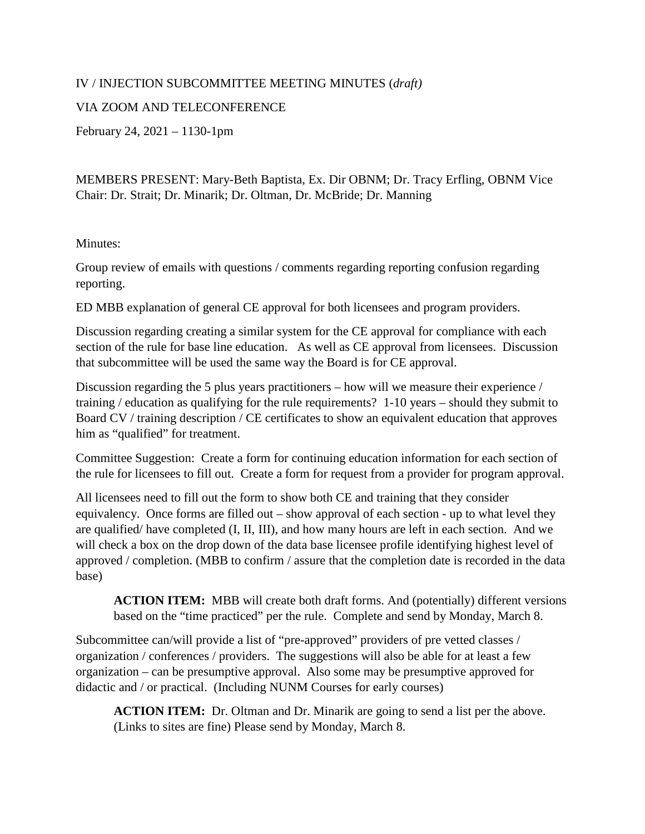## IV / INJECTION SUBCOMMITTEE MEETING MINUTES (*draft)*

## VIA ZOOM AND TELECONFERENCE

February 24, 2021 – 1130-1pm

MEMBERS PRESENT: Mary-Beth Baptista, Ex. Dir OBNM; Dr. Tracy Erfling, OBNM Vice Chair: Dr. Strait; Dr. Minarik; Dr. Oltman, Dr. McBride; Dr. Manning

## Minutes:

Group review of emails with questions / comments regarding reporting confusion regarding reporting.

ED MBB explanation of general CE approval for both licensees and program providers.

Discussion regarding creating a similar system for the CE approval for compliance with each section of the rule for base line education. As well as CE approval from licensees. Discussion that subcommittee will be used the same way the Board is for CE approval.

Discussion regarding the 5 plus years practitioners – how will we measure their experience / training / education as qualifying for the rule requirements? 1-10 years – should they submit to Board CV / training description / CE certificates to show an equivalent education that approves him as "qualified" for treatment.

Committee Suggestion: Create a form for continuing education information for each section of the rule for licensees to fill out. Create a form for request from a provider for program approval.

All licensees need to fill out the form to show both CE and training that they consider equivalency. Once forms are filled out – show approval of each section - up to what level they are qualified/ have completed (I, II, III), and how many hours are left in each section. And we will check a box on the drop down of the data base licensee profile identifying highest level of approved / completion. (MBB to confirm / assure that the completion date is recorded in the data base)

**ACTION ITEM:** MBB will create both draft forms. And (potentially) different versions based on the "time practiced" per the rule. Complete and send by Monday, March 8.

Subcommittee can/will provide a list of "pre-approved" providers of pre vetted classes / organization / conferences / providers. The suggestions will also be able for at least a few organization – can be presumptive approval. Also some may be presumptive approved for didactic and / or practical. (Including NUNM Courses for early courses)

**ACTION ITEM:** Dr. Oltman and Dr. Minarik are going to send a list per the above. (Links to sites are fine) Please send by Monday, March 8.